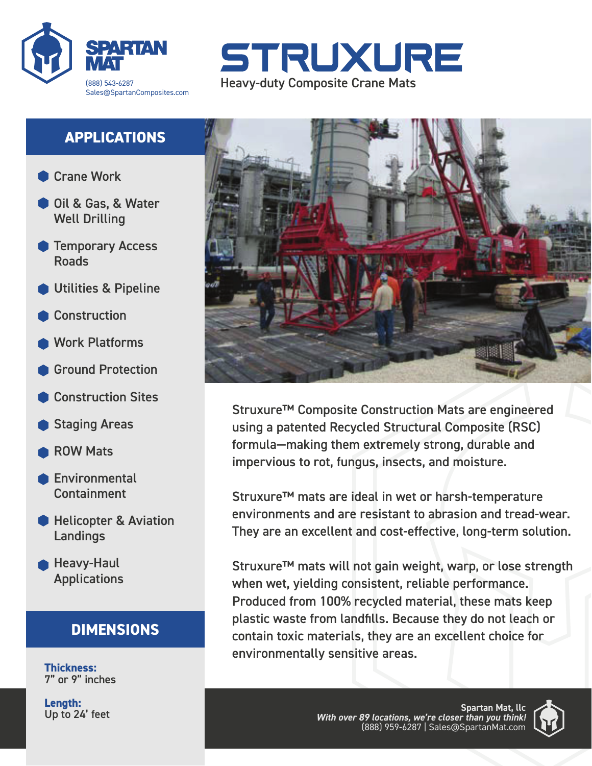



# **APPLICATIONS**

- **Crane Work**
- Oil & Gas, & Water Well Drilling
- **Temporary Access** Roads
- Utilities & Pipeline
- **Construction**
- Work Platforms
- Ground Protection
- Construction Sites
- Staging Areas
- ROW Mats
- Environmental Containment
- **Helicopter & Aviation** Landings
- **Heavy-Haul Applications**

# **DIMENSIONS**

**Thickness:** 7" or 9" inches

**Length:** Up to 24' feet



Struxure™ Composite Construction Mats are engineered using a patented Recycled Structural Composite (RSC) formula—making them extremely strong, durable and impervious to rot, fungus, insects, and moisture.

Struxure™ mats are ideal in wet or harsh-temperature environments and are resistant to abrasion and tread-wear. They are an excellent and cost-effective, long-term solution.

Struxure™ mats will not gain weight, warp, or lose strength when wet, yielding consistent, reliable performance. Produced from 100% recycled material, these mats keep plastic waste from landfills. Because they do not leach or contain toxic materials, they are an excellent choice for environmentally sensitive areas.

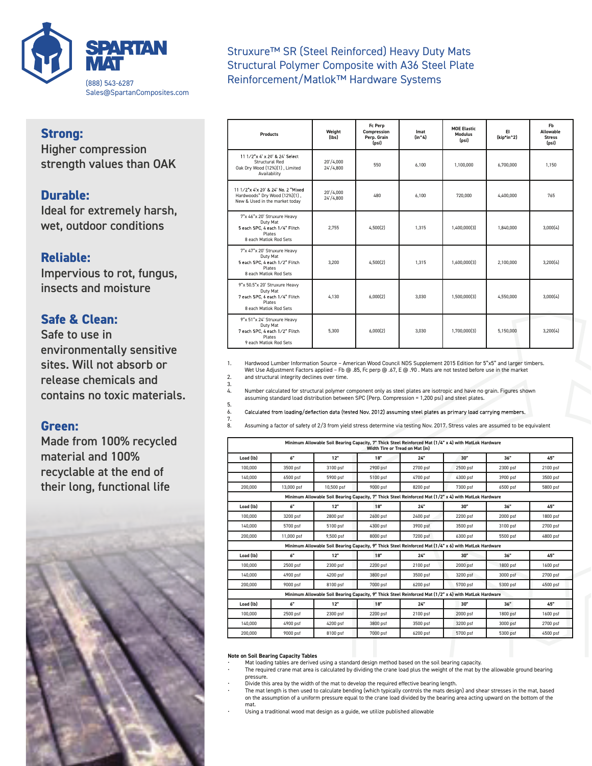

#### **Strong:**

Higher compression strength values than OAK

### **Durable:**

Ideal for extremely harsh, wet, outdoor conditions

#### **Reliable:**

Impervious to rot, fungus, insects and moisture

#### **Safe & Clean:**

Safe to use in environmentally sensitive sites. Will not absorb or release chemicals and contains no toxic materials.

#### **Green:**

Made from 100% recycled material and 100% recyclable at the end of their long, functional life



Struxure™ SR (Steel Reinforced) Heavy Duty Mats Structural Polymer Composite with A36 Steel Plate Reinforcement/Matlok™ Hardware Systems

| <b>Products</b>                                                                                                      | Weight<br>(lbs)        | Fc Perp<br>Compression<br>Perp. Grain<br>(psi) | Imat<br>(in <sub>1</sub> ) | <b>MOE Elastic</b><br><b>Modulus</b><br>(psi) | EL<br>(kip*in^2) | <b>Fb</b><br>Allowable<br><b>Stress</b><br>(psi) |
|----------------------------------------------------------------------------------------------------------------------|------------------------|------------------------------------------------|----------------------------|-----------------------------------------------|------------------|--------------------------------------------------|
| 11 1/2"x 4' x 20' & 24' Select<br><b>Structural Red</b><br>Oak Dry Wood (12%)(1), Limited<br>Availability            | 20'/4.000<br>24'/4,800 | 550                                            | 6.100                      | 1.100.000                                     | 6.700.000        | 1.150                                            |
| 11 1/2"x 4'x 20' & 24' No. 2 "Mixed<br>Hardwoods" Dry Wood (12%)(1),<br>New & Used in the market today               | 20'/4.000<br>24'/4.800 | 480                                            | 6.100                      | 720,000                                       | 4.400.000        | 765                                              |
| 7"x 46"x 20' Struxure Heavy<br>Duty Mat<br>5 each SPC, 4 each 1/4" Flitch<br><b>Plates</b><br>8 each Matlok Rod Sets | 2.755                  | 4,500(2)                                       | 1.315                      | 1,400,000(3)                                  | 1,840,000        | 3,000(4)                                         |
| 7"x 47"x 20' Struxure Heavy<br>Duty Mat<br>5 each SPC, 4 each 1/2" Flitch<br><b>Plates</b><br>8 each Matlok Rod Sets | 3.200                  | 4.500(2)                                       | 1.315                      | 1.600.000(3)                                  | 2.100.000        | 3.200(4)                                         |
| 9"x 50.5"x 20' Struxure Heavy<br>Duty Mat<br>7 each SPC, 6 each 1/4" Flitch<br>Plates<br>8 each Matlok Rod Sets      | 4.130                  | 6.000(2)                                       | 3.030                      | 1.500.000(3)                                  | 4.550.000        | 3.000(4)                                         |
| 9"x 51"x 24' Struxure Heavy<br>Duty Mat<br>7 each SPC, 4 each 1/2" Flitch<br>Plates<br>9 each Matlok Rod Sets        | 5,300                  | 6.000(2)                                       | 3.030                      | 1.700.000(3)                                  | 5.150.000        | 3.200(4)                                         |

1. Hardwood Lumber Information Source – American Wood Council NDS Supplement 2015 Edition for 5"x5" and larger timbers. Wet Use Adjustment Factors applied – Fb @ .85, Fc perp @ .67, E @ .90 . Mats are not tested before use in the market

2. and structural integrity declines over time. 3.

4. Number calculated for structural polymer component only as steel plates are isotropic and have no grain. Figures shown assuming standard load distribution between SPC (Perp. Compression = 1,200 psi) and steel plates.

5. Calculated from loading/deflection data (tested Nov. 2012) assuming steel plates as primary load carrying members. 6.

7. 8. Assuming a factor of safety of 2/3 from yield stress determine via testing Nov. 2017. Stress vales are assumed to be equivalent

|           |                             |            | Minimum Allowable Soil Bearing Capacity, 7" Thick Steel Reinforced Mat (1/4" x 4) with MatLok Hardware<br>Width Tire or Tread on Mat (in) |          |          |          |          |
|-----------|-----------------------------|------------|-------------------------------------------------------------------------------------------------------------------------------------------|----------|----------|----------|----------|
| Load (lb) | 6"                          | 12"        | 18"                                                                                                                                       | 24"      | 30"      | 36"      | 45"      |
| 100,000   | 3500 psf                    | 3100 psf   | 2900 psf                                                                                                                                  | 2700 psf | 2500 psf | 2300 psf | 2100 psf |
| 140,000   | 6500 psf                    | 5900 psf   | 5100 psf                                                                                                                                  | 4700 psf | 4300 psf | 3900 psf | 3500 psf |
| 200,000   | 13,000 psf                  | 10,500 psf | 9000 psf                                                                                                                                  | 8200 psf | 7300 psf | 6500 psf | 5800 psf |
|           |                             |            | Minimum Allowable Soil Bearing Capacity, 7" Thick Steel Reinforced Mat (1/2" x 4) with MatLok Hardware                                    |          |          |          |          |
| Load (lb) | 6"                          | 12"        | 18"                                                                                                                                       | 24"      | 30"      | 36"      | 45"      |
| 100,000   | 3200 psf                    | 2800 psf   | 2600 psf                                                                                                                                  | 2400 psf | 2200 psf | 2000 psf | 1800 psf |
| 140,000   | 5700 psf                    | 5100 psf   | 4300 psf                                                                                                                                  | 3900 psf | 3500 psf | 3100 psf | 2700 psf |
| 200,000   | 11,000 psf                  | 9,500 psf  | 8000 psf                                                                                                                                  | 7200 psf | 6300 psf | 5500 psf | 4800 psf |
|           |                             |            | Minimum Allowable Soil Bearing Capacity, 9" Thick Steel Reinforced Mat (1/4" x 6) with MatLok Hardware                                    |          |          |          |          |
| Load (lb) | 6"                          | 12"        | 18"                                                                                                                                       | 24"      | 30"      | 36"      | 45"      |
| 100,000   | 2500 psf                    | 2300 psf   | 2200 psf                                                                                                                                  | 2100 psf | 2000 psf | 1800 psf | 1600 psf |
| 140,000   | 4900 psf                    | 4200 psf   | 3800 psf                                                                                                                                  | 3500 psf | 3200 psf | 3000 psf | 2700 psf |
| 200,000   | 9000 psf                    | 8100 psf   | 7000 psf                                                                                                                                  | 6200 psf | 5700 psf | 5300 psf | 4500 psf |
|           |                             |            | Minimum Allowable Soil Bearing Capacity, 9" Thick Steel Reinforced Mat (1/2" x 4) with MatLok Hardware                                    |          |          |          |          |
| Load (lb) | $\mathbf{A}^{\prime\prime}$ | 12"        | 18"                                                                                                                                       | 24"      | 30"      | 36"      | 45"      |
| 100,000   | 2500 psf                    | 2300 psf   | 2200 psf                                                                                                                                  | 2100 psf | 2000 psf | 1800 psf | 1600 psf |
| 140,000   | 4900 psf                    | 4200 psf   | 3800 psf                                                                                                                                  | 3500 psf | 3200 psf | 3000 psf | 2700 psf |
| 200,000   | 9000 psf                    | 8100 psf   | 7000 psf                                                                                                                                  | 6200 psf | 5700 psf | 5300 psf | 4500 psf |

#### **Note on Soil Bearing Capacity Tables**

• Mat loading tables are derived using a standard design method based on the soil bearing capacity.

• The required crane mat area is calculated by dividing the crane load plus the weight of the mat by the allowable ground bearing pressure.

• Divide this area by the width of the mat to develop the required effective bearing length.

The mat length is then used to calculate bending (which typically controls the mats design) and shear stresses in the mat, based<br>on the assumption of a uniform pressure equal to the crane load divided by the bearing area a mat.

*With over 89 locations, we're closer than you think!* • Using a traditional wood mat design as a guide, we utilize published allowable